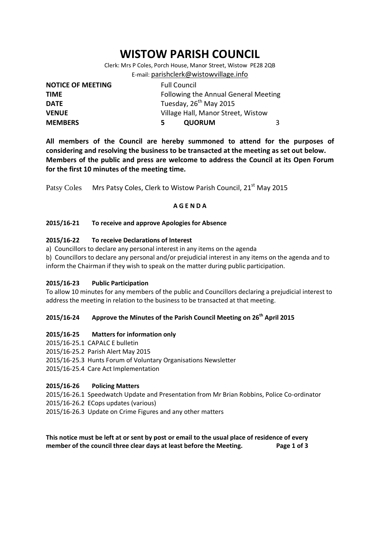# **WISTOW PARISH COUNCIL**

Clerk: Mrs P Coles, Porch House, Manor Street, Wistow PE28 2QB E-mail: [parishclerk@wistowvillage.info](mailto:parishclerk@wistowvillage.info)

| <b>NOTICE OF MEETING</b> | <b>Full Council</b>                  |   |
|--------------------------|--------------------------------------|---|
| <b>TIME</b>              | Following the Annual General Meeting |   |
| <b>DATE</b>              | Tuesday, 26 <sup>th</sup> May 2015   |   |
| <b>VENUE</b>             | Village Hall, Manor Street, Wistow   |   |
| <b>MEMBERS</b>           | <b>QUORUM</b><br>5.                  | २ |

**All members of the Council are hereby summoned to attend for the purposes of considering and resolving the business to be transacted at the meeting as set out below. Members of the public and press are welcome to address the Council at its Open Forum for the first 10 minutes of the meeting time.**

Patsy Coles Mrs Patsy Coles, Clerk to Wistow Parish Council, 21<sup>st</sup> May 2015

## **A G E N D A**

## **2015/16-21 To receive and approve Apologies for Absence**

## **2015/16-22 To receive Declarations of Interest**

- a) Councillors to declare any personal interest in any items on the agenda
- b) Councillors to declare any personal and/or prejudicial interest in any items on the agenda and to inform the Chairman if they wish to speak on the matter during public participation.

#### **2015/16-23 Public Participation**

To allow 10 minutes for any members of the public and Councillors declaring a prejudicial interest to address the meeting in relation to the business to be transacted at that meeting.

## **2015/16-24 Approve the Minutes of the Parish Council Meeting on 26th April 2015**

#### **2015/16-25 Matters for information only**

- 2015/16-25.1 CAPALC E bulletin
- 2015/16-25.2 Parish Alert May 2015
- 2015/16-25.3 Hunts Forum of Voluntary Organisations Newsletter
- 2015/16-25.4 Care Act Implementation

#### **2015/16-26 Policing Matters**

- 2015/16-26.1 Speedwatch Update and Presentation from Mr Brian Robbins, Police Co-ordinator
- 2015/16-26.2 ECops updates (various)
- 2015/16-26.3 Update on Crime Figures and any other matters

**This notice must be left at or sent by post or email to the usual place of residence of every member of the council three clear days at least before the Meeting. Page 1 of 3**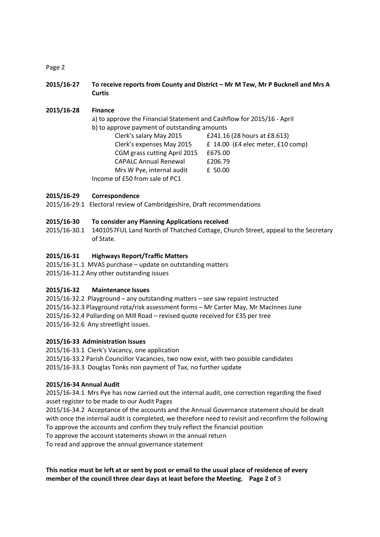Page 2

**2015/16-27 To receive reports from County and District – Mr M Tew, Mr P Bucknell and Mrs A Curtis**

**2015/16-28 Finance** a) to approve the Financial Statement and Cashflow for 2015/16 - April b) to approve payment of outstanding amounts Clerk's salary May 2015 £241.16 (28 hours at £8.613) Clerk's expenses May 2015 £ 14.00 (£4 elec meter, £10 comp) CGM grass cutting April 2015 £675.00 CAPALC Annual Renewal £206.79 Mrs W Pye, internal audit £ 50.00 Income of £50 from sale of PC1

## **2015/16-29 Correspondence**

2015/16-29.1 Electoral review of Cambridgeshire, Draft recommendations

#### **2015/16-30 To consider any Planning Applications received**

2015/16-30.1 1401057FUL Land North of Thatched Cottage, Church Street, appeal to the Secretary of State.

## **2015/16-31 Highways Report/Traffic Matters**

2015/16-31.1 MVAS purchase – update on outstanding matters 2015/16-31.2 Any other outstanding issues

#### **2015/16-32 Maintenance Issues**

2015/16-32.2 Playground – any outstanding matters – see saw repaint instructed 2015/16-32.3 Playground rota/risk assessment forms – Mr Carter May, Mr MacInnes June 2015/16-32.4 Pollarding on Mill Road – revised quote received for £35 per tree 2015/16-32.6 Any streetlight issues.

#### **2015/16-33 Administration Issues**

2015/16-33.1 Clerk's Vacancy, one application 2015/16-33.2 Parish Councillor Vacancies, two now exist, with two possible candidates 2015/16-33.3 Douglas Tonks non payment of Tax, no further update

#### **2015/16-34 Annual Audit**

2015/16-34.1 Mrs Pye has now carried out the internal audit, one correction regarding the fixed asset register to be made to our Audit Pages

2015/16-34.2 Acceptance of the accounts and the Annual Governance statement should be dealt with once the internal audit is completed, we therefore need to revisit and reconfirm the following To approve the accounts and confirm they truly reflect the financial position

To approve the account statements shown in the annual return

To read and approve the annual governance statement

**This notice must be left at or sent by post or email to the usual place of residence of every member of the council three clear days at least before the Meeting. Page 2 of** 3